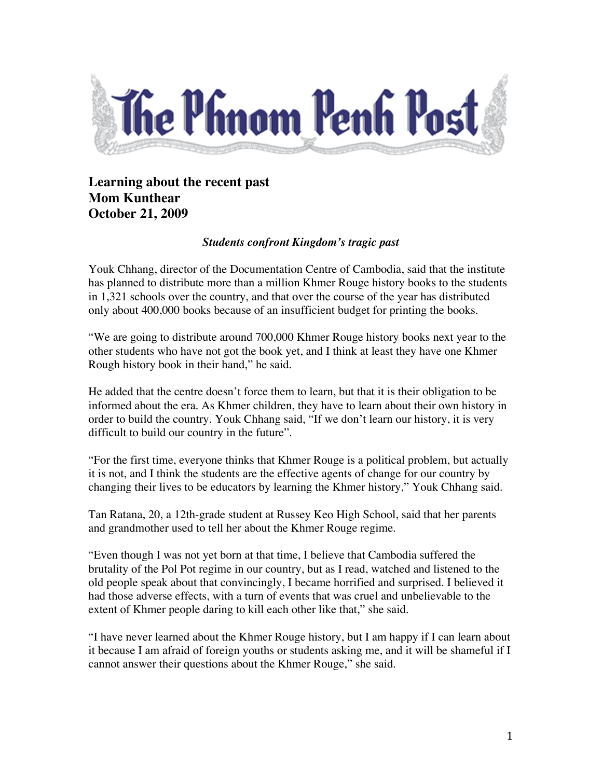

## **Learning about the recent past Mom Kunthear October 21, 2009**

## *Students confront Kingdom's tragic past*

Youk Chhang, director of the Documentation Centre of Cambodia, said that the institute has planned to distribute more than a million Khmer Rouge history books to the students in 1,321 schools over the country, and that over the course of the year has distributed only about 400,000 books because of an insufficient budget for printing the books.

"We are going to distribute around 700,000 Khmer Rouge history books next year to the other students who have not got the book yet, and I think at least they have one Khmer Rough history book in their hand," he said.

He added that the centre doesn't force them to learn, but that it is their obligation to be informed about the era. As Khmer children, they have to learn about their own history in order to build the country. Youk Chhang said, "If we don't learn our history, it is very difficult to build our country in the future".

"For the first time, everyone thinks that Khmer Rouge is a political problem, but actually it is not, and I think the students are the effective agents of change for our country by changing their lives to be educators by learning the Khmer history," Youk Chhang said.

Tan Ratana, 20, a 12th-grade student at Russey Keo High School, said that her parents and grandmother used to tell her about the Khmer Rouge regime.

"Even though I was not yet born at that time, I believe that Cambodia suffered the brutality of the Pol Pot regime in our country, but as I read, watched and listened to the old people speak about that convincingly, I became horrified and surprised. I believed it had those adverse effects, with a turn of events that was cruel and unbelievable to the extent of Khmer people daring to kill each other like that," she said.

"I have never learned about the Khmer Rouge history, but I am happy if I can learn about it because I am afraid of foreign youths or students asking me, and it will be shameful if I cannot answer their questions about the Khmer Rouge," she said.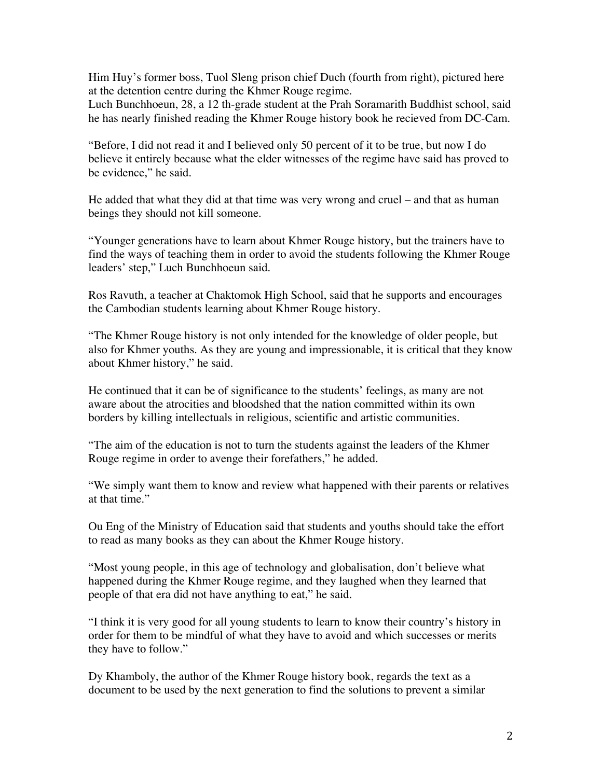Him Huy's former boss, Tuol Sleng prison chief Duch (fourth from right), pictured here at the detention centre during the Khmer Rouge regime.

Luch Bunchhoeun, 28, a 12 th-grade student at the Prah Soramarith Buddhist school, said he has nearly finished reading the Khmer Rouge history book he recieved from DC-Cam.

"Before, I did not read it and I believed only 50 percent of it to be true, but now I do believe it entirely because what the elder witnesses of the regime have said has proved to be evidence," he said.

He added that what they did at that time was very wrong and cruel – and that as human beings they should not kill someone.

"Younger generations have to learn about Khmer Rouge history, but the trainers have to find the ways of teaching them in order to avoid the students following the Khmer Rouge leaders' step," Luch Bunchhoeun said.

Ros Ravuth, a teacher at Chaktomok High School, said that he supports and encourages the Cambodian students learning about Khmer Rouge history.

"The Khmer Rouge history is not only intended for the knowledge of older people, but also for Khmer youths. As they are young and impressionable, it is critical that they know about Khmer history," he said.

He continued that it can be of significance to the students' feelings, as many are not aware about the atrocities and bloodshed that the nation committed within its own borders by killing intellectuals in religious, scientific and artistic communities.

"The aim of the education is not to turn the students against the leaders of the Khmer Rouge regime in order to avenge their forefathers," he added.

"We simply want them to know and review what happened with their parents or relatives at that time."

Ou Eng of the Ministry of Education said that students and youths should take the effort to read as many books as they can about the Khmer Rouge history.

"Most young people, in this age of technology and globalisation, don't believe what happened during the Khmer Rouge regime, and they laughed when they learned that people of that era did not have anything to eat," he said.

"I think it is very good for all young students to learn to know their country's history in order for them to be mindful of what they have to avoid and which successes or merits they have to follow."

Dy Khamboly, the author of the Khmer Rouge history book, regards the text as a document to be used by the next generation to find the solutions to prevent a similar